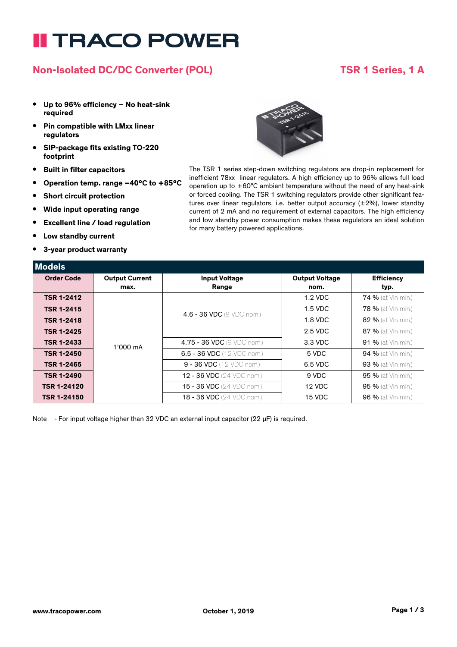# **I TRACO POWER**

## **Non-Isolated DC/DC Converter (POL) TSR 1 Series, 1 A**

#### **• Up to 96% efficiency – No heat-sink required**

- **• Pin compatible with LMxx linear regulators**
- **• SIP-package fits existing TO-220 footprint**
- **• Built in filter capacitors**
- **• Operation temp. range –40°C to +85°C**
- **• Short circuit protection**
- **• Wide input operating range**
- **• Excellent line / load regulation**
- **• Low standby current**
- **• 3-year product warranty**



The TSR 1 series step-down switching regulators are drop-in replacement for inefficient 78xx linear regulators. A high efficiency up to 96% allows full load operation up to +60°C ambient temperature without the need of any heat-sink or forced cooling. The TSR 1 switching regulators provide other significant features over linear regulators, i.e. better output accuracy (±2%), lower standby current of 2 mA and no requirement of external capacitors. The high efficiency and low standby power consumption makes these regulators an ideal solution for many battery powered applications.

| Models             |                       |                                      |                       |                           |
|--------------------|-----------------------|--------------------------------------|-----------------------|---------------------------|
| <b>Order Code</b>  | <b>Output Current</b> | <b>Input Voltage</b>                 | <b>Output Voltage</b> | <b>Efficiency</b>         |
|                    | max.                  | Range                                | nom.                  | typ.                      |
| <b>TSR 1-2412</b>  | 1'000 mA              | 4.6 - 36 VDC (9 VDC nom.)            | $1.2$ VDC             | <b>74 %</b> (at Vin min.) |
| <b>TSR 1-2415</b>  |                       |                                      | $1.5$ VDC             | <b>78 %</b> (at Vin min.) |
| <b>TSR 1-2418</b>  |                       |                                      | 1.8 VDC               | 82 % (at Vin min.)        |
| <b>TSR 1-2425</b>  |                       |                                      | 2.5 VDC               | <b>87 %</b> (at Vin min.) |
| <b>TSR 1-2433</b>  |                       | 4.75 - 36 VDC (9 VDC nom.)           | 3.3 VDC               | <b>91 %</b> (at Vin min.) |
| <b>TSR 1-2450</b>  |                       | 6.5 - 36 VDC (12 VDC nom.)           | 5 VDC                 | <b>94 %</b> (at Vin min.) |
| <b>TSR 1-2465</b>  |                       | $9 - 36 \, \text{VDC}$ (12 VDC nom.) | 6.5 VDC               | <b>93 %</b> (at Vin min.) |
| <b>TSR 1-2490</b>  |                       | <b>12 - 36 VDC</b> (24 VDC nom.)     | 9 VDC                 | 95 % (at Vin min.)        |
| <b>TSR 1-24120</b> |                       | 15 - 36 VDC (24 VDC nom.)            | 12 VDC                | <b>95 %</b> (at Vin min.) |
| <b>TSR 1-24150</b> |                       | <b>18 - 36 VDC</b> (24 VDC nom.)     | 15 VDC                | <b>96 %</b> (at Vin min.) |

Note - For input voltage higher than 32 VDC an external input capacitor (22 µF) is required.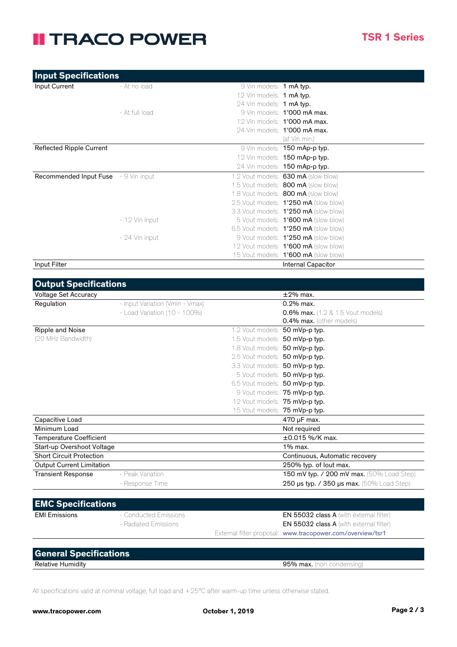## **II TRACO POWER**

| <b>Input Specifications</b>                 |                |                          |                                             |
|---------------------------------------------|----------------|--------------------------|---------------------------------------------|
| Input Current                               | - At no load   | 9 Vin models: 1 mA typ.  |                                             |
|                                             |                | 12 Vin models: 1 mA typ. |                                             |
|                                             |                | 24 Vin models: 1 mA typ. |                                             |
|                                             | - At full load |                          | 9 Vin models: 1'000 mA max.                 |
|                                             |                |                          | 12 Vin models: <b>1'000 mA max.</b>         |
|                                             |                |                          | 24 Vin models: <b>1'000 mA max.</b>         |
|                                             |                |                          | (at Vin min.)                               |
| <b>Reflected Ripple Current</b>             |                |                          | 9 Vin models: <b>150 mAp-p typ.</b>         |
|                                             |                |                          | 12 Vin models: 150 mAp-p typ.               |
|                                             |                |                          | 24 Vin models: 150 mAp-p typ.               |
| <b>Recommended Input Fuse</b> - 9 Vin input |                |                          | 1.2 Vout models: 630 mA (slow blow)         |
|                                             |                |                          | 1.5 Vout models: <b>800 mA</b> (slow blow)  |
|                                             |                |                          | 1.8 Vout models: <b>800 mA</b> (slow blow)  |
|                                             |                |                          | 2.5 Vout models: 1'250 mA (slow blow)       |
|                                             |                |                          | 3.3 Vout models: 1'250 mA (slow blow)       |
|                                             | - 12 Vin input |                          | 5 Vout models: 1'600 mA (slow blow)         |
|                                             |                |                          | 6.5 Vout models: 1'250 mA (slow blow)       |
|                                             | - 24 Vin input |                          | 9 Vout models: 1'250 mA (slow blow)         |
|                                             |                |                          | 12 Vout models: <b>1'600 mA</b> (slow blow) |
|                                             |                |                          | 15 Vout models: <b>1'600 mA</b> (slow blow) |
| Input Filter                                |                |                          | <b>Internal Capacitor</b>                   |

| <b>Output Specifications</b>     |                                 |                                |                                                     |
|----------------------------------|---------------------------------|--------------------------------|-----------------------------------------------------|
| Voltage Set Accuracy             |                                 |                                | $\pm 2\%$ max.                                      |
| Regulation                       | - Input Variation (Vmin - Vmax) |                                | $0.2\%$ max.                                        |
|                                  | $-$ Load Variation (10 - 100%)  |                                | <b>0.6% max.</b> $(1.2 \& 1.5$ Vout models)         |
|                                  |                                 |                                | <b>0.4% max.</b> (other models)                     |
| Ripple and Noise                 |                                 | 1.2 Vout models: 50 mVp-p typ. |                                                     |
| (20 MHz Bandwidth)               |                                 | 1.5 Vout models: 50 mVp-p typ. |                                                     |
|                                  |                                 | 1.8 Vout models: 50 mVp-p typ. |                                                     |
|                                  |                                 | 2.5 Vout models: 50 mVp-p typ. |                                                     |
|                                  |                                 | 3.3 Vout models: 50 mVp-p typ. |                                                     |
|                                  |                                 |                                | 5 Vout models: 50 mVp-p typ.                        |
|                                  |                                 | 6.5 Vout models: 50 mVp-p typ. |                                                     |
|                                  |                                 |                                | 9 Vout models: 75 mVp-p typ.                        |
|                                  |                                 | 12 Vout models: 75 mVp-p typ.  |                                                     |
|                                  |                                 | 15 Vout models: 75 mVp-p typ.  |                                                     |
| Capacitive Load                  |                                 |                                | 470 µF max.                                         |
| Minimum Load                     |                                 |                                | Not required                                        |
| <b>Temperature Coefficient</b>   |                                 | $\pm 0.015$ %/K max.           |                                                     |
| Start-up Overshoot Voltage       |                                 | $1\%$ max.                     |                                                     |
| <b>Short Circuit Protection</b>  |                                 | Continuous, Automatic recovery |                                                     |
| <b>Output Current Limitation</b> |                                 |                                | 250% typ. of lout max.                              |
| <b>Transient Response</b>        | - Peak Variation                |                                | 150 mV typ. / 200 mV max. (50% Load Step)           |
|                                  | - Response Time                 |                                | 250 $\mu$ s typ. / 350 $\mu$ s max. (50% Load Step) |
|                                  |                                 |                                |                                                     |

| <b>EMC Specifications</b> |                       |                                                            |  |
|---------------------------|-----------------------|------------------------------------------------------------|--|
| EMI Emissions             | - Conducted Emissions | <b>EN 55032 class A</b> (with external filter)             |  |
|                           | - Radiated Emissions  | <b>EN 55032 class A</b> (with external filter)             |  |
|                           |                       | External filter proposal: www.tracopower.com/overview/tsr1 |  |

| <b>General Specifications</b> |                           |
|-------------------------------|---------------------------|
| <b>Relative Humidity</b>      | 95% max. (non condensing) |
|                               |                           |

All specifications valid at nominal voltage, full load and +25°C after warm-up time unless otherwise stated.